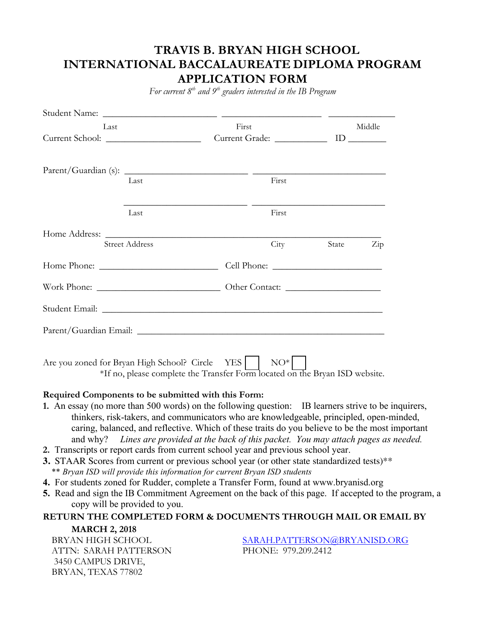# **TRAVIS B. BRYAN HIGH SCHOOL INTERNATIONAL BACCALAUREATE DIPLOMA PROGRAM APPLICATION FORM**

*For current 8th and 9th graders interested in the IB Program*

| Last |                                                                                                                                | First                                                                                                                |        | Middle |     |  |
|------|--------------------------------------------------------------------------------------------------------------------------------|----------------------------------------------------------------------------------------------------------------------|--------|--------|-----|--|
|      |                                                                                                                                |                                                                                                                      |        |        |     |  |
|      |                                                                                                                                |                                                                                                                      |        |        |     |  |
|      | Last                                                                                                                           |                                                                                                                      | First  |        |     |  |
|      |                                                                                                                                | <u> 1989 - Jan James James James James James James James James James James James James James James James James J</u> |        |        |     |  |
|      | Last                                                                                                                           |                                                                                                                      | First  |        |     |  |
|      |                                                                                                                                |                                                                                                                      |        |        |     |  |
|      | <b>Street Address</b>                                                                                                          |                                                                                                                      | City   | State  | Zip |  |
|      |                                                                                                                                |                                                                                                                      |        |        |     |  |
|      |                                                                                                                                |                                                                                                                      |        |        |     |  |
|      |                                                                                                                                |                                                                                                                      |        |        |     |  |
|      |                                                                                                                                |                                                                                                                      |        |        |     |  |
|      | Are you zoned for Bryan High School? Circle YES<br>*If no, please complete the Transfer Form located on the Bryan ISD website. |                                                                                                                      | $NO^*$ |        |     |  |

### **Required Components to be submitted with this Form:**

- **1.** An essay (no more than 500 words) on the following question: IB learners strive to be inquirers, thinkers, risk-takers, and communicators who are knowledgeable, principled, open-minded, caring, balanced, and reflective. Which of these traits do you believe to be the most important and why? *Lines are provided at the back of this packet. You may attach pages as needed.*
- **2.** Transcripts or report cards from current school year and previous school year.
- **3.** STAAR Scores from current or previous school year (or other state standardized tests)\*\* \*\* *Bryan ISD will provide this information for current Bryan ISD students*
- **4.** For students zoned for Rudder, complete a Transfer Form, found at www.bryanisd.org
- **5.** Read and sign the IB Commitment Agreement on the back of this page. If accepted to the program, a copy will be provided to you.

## **RETURN THE COMPLETED FORM & DOCUMENTS THROUGH MAIL OR EMAIL BY**

**MARCH 2, 2018** ATTN: SARAH PATTERSON PHONE: 979.209.2412 3450 CAMPUS DRIVE, BRYAN, TEXAS 77802

BRYAN HIGH SCHOOL SARAH.PATTERSON@BRYANISD.ORG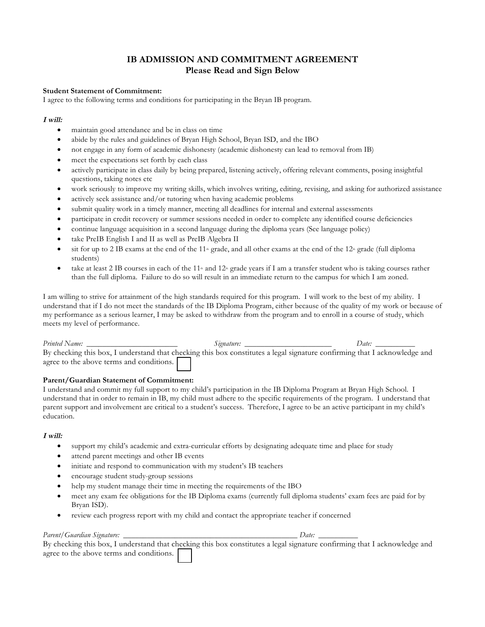## **IB ADMISSION AND COMMITMENT AGREEMENT Please Read and Sign Below**

#### **Student Statement of Commitment:**

I agree to the following terms and conditions for participating in the Bryan IB program.

#### **I will:**

- maintain good attendance and be in class on time
- abide by the rules and guidelines of Bryan High School, Bryan ISD, and the IBO
- not engage in any form of academic dishonesty (academic dishonesty can lead to removal from IB)
- meet the expectations set forth by each class
- actively participate in class daily by being prepared, listening actively, offering relevant comments, posing insightful questions, taking notes etc
- work seriously to improve my writing skills, which involves writing, editing, revising, and asking for authorized assistance
- actively seek assistance and/or tutoring when having academic problems
- submit quality work in a timely manner, meeting all deadlines for internal and external assessments
- participate in credit recovery or summer sessions needed in order to complete any identified course deficiencies
- continue language acquisition in a second language during the diploma years (See language policy)
- take PreIB English I and II as well as PreIB Algebra II
- sit for up to 2 IB exams at the end of the  $11<sup>th</sup>$  grade, and all other exams at the end of the  $12<sup>th</sup>$  grade (full diploma students)
- take at least 2 IB courses in each of the  $11*$  and  $12*$  grade years if I am a transfer student who is taking courses rather than the full diploma. Failure to do so will result in an immediate return to the campus for which I am zoned.

I am willing to strive for attainment of the high standards required for this program. I will work to the best of my ability. I understand that if I do not meet the standards of the IB Diploma Program, either because of the quality of my work or because of my performance as a serious learner, I may be asked to withdraw from the program and to enroll in a course of study, which meets my level of performance.

| Printed Name:                            | Signature:                                                                                                                | Date: |
|------------------------------------------|---------------------------------------------------------------------------------------------------------------------------|-------|
|                                          | By checking this box, I understand that checking this box constitutes a legal signature confirming that I acknowledge and |       |
| agree to the above terms and conditions. |                                                                                                                           |       |

#### **Parent/Guardian Statement of Commitment:**

I understand and commit my full support to my child's participation in the IB Diploma Program at Bryan High School. I understand that in order to remain in IB, my child must adhere to the specific requirements of the program. I understand that parent support and involvement are critical to a student's success. Therefore, I agree to be an active participant in my child's education.

#### **I will:**

- support my child's academic and extra-curricular efforts by designating adequate time and place for study
- attend parent meetings and other IB events
- initiate and respond to communication with my student's IB teachers
- encourage student study-group sessions
- help my student manage their time in meeting the requirements of the IBO
- meet any exam fee obligations for the IB Diploma exams (currently full diploma students' exam fees are paid for by Bryan ISD).
- review each progress report with my child and contact the appropriate teacher if concerned

#### *Parent/Guardian Signature: \_\_\_\_\_\_\_\_\_\_\_\_\_\_\_\_\_\_\_\_\_\_\_\_\_\_\_\_\_\_\_\_\_\_\_\_\_\_\_\_\_\_\_\_ Date: \_\_\_\_\_\_\_\_\_\_*

By checking this box, I understand that checking this box constitutes a legal signature confirming that I acknowledge and agree to the above terms and conditions.